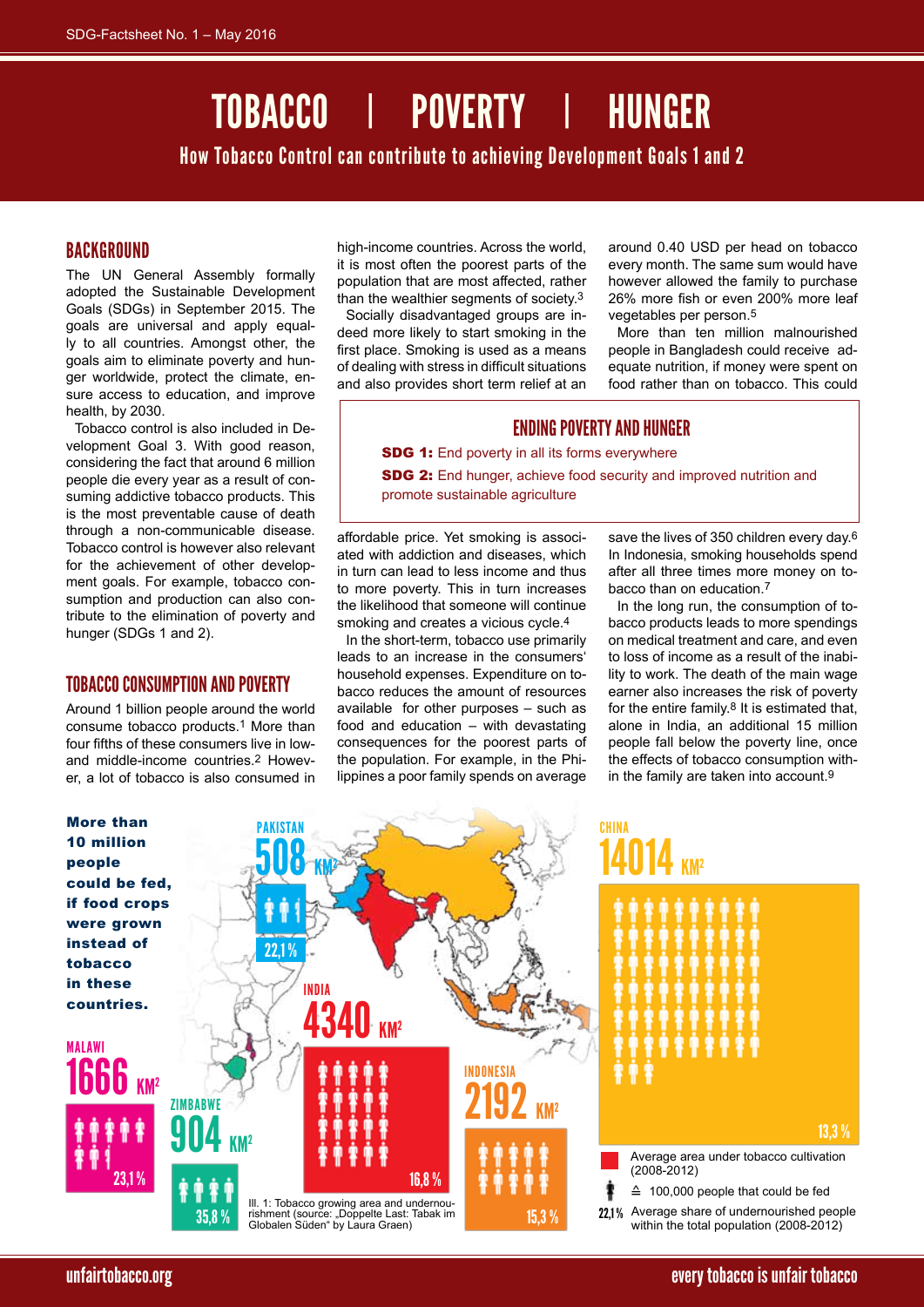# TOBACCO I POVERTY I HU

How Tobacco Control can contribute to achieving Development Goals 1 and 2

# BACKGROUND

The UN General Assembly formally adopted the Sustainable Development Goals (SDGs) in September 2015. The goals are universal and apply equally to all countries. Amongst other, the goals aim to eliminate poverty and hunger worldwide, protect the climate, ensure access to education, and improve health, by 2030.

Tobacco control is also included in Development Goal 3. With good reason, considering the fact that around 6 million people die every year as a result of consuming addictive tobacco products. This is the most preventable cause of death through a non-communicable disease. Tobacco control is however also relevant for the achievement of other development goals. For example, tobacco consumption and production can also contribute to the elimination of poverty and hunger (SDGs 1 and 2).

## TOBACCO CONSUMPTION AND POVERTY

Around 1 billion people around the world consume tobacco products.1 More than four fifths of these consumers live in lowand middle-income countries.2 However, a lot of tobacco is also consumed in

high-income countries. Across the world, it is most often the poorest parts of the population that are most affected, rather than the wealthier segments of society.3

Socially disadvantaged groups are indeed more likely to start smoking in the first place. Smoking is used as a means of dealing with stress in difficult situations and also provides short term relief at an around 0.40 USD per head on tobacco every month. The same sum would have however allowed the family to purchase 26% more fish or even 200% more leaf vegetables per person.5

More than ten million malnourished people in Bangladesh could receive adequate nutrition, if money were spent on food rather than on tobacco. This could

# ENDING POVERTY AND HUNGER

**SDG 1:** End poverty in all its forms everywhere

SDG 2: End hunger, achieve food security and improved nutrition and promote sustainable agriculture

affordable price. Yet smoking is associated with addiction and diseases, which in turn can lead to less income and thus to more poverty. This in turn increases the likelihood that someone will continue smoking and creates a vicious cycle.4

In the short-term, tobacco use primarily leads to an increase in the consumers' household expenses. Expenditure on tobacco reduces the amount of resources available for other purposes – such as food and education – with devastating consequences for the poorest parts of the population. For example, in the Philippines a poor family spends on average

save the lives of 350 children every day.<sup>6</sup> In Indonesia, smoking households spend after all three times more money on tobacco than on education.7

In the long run, the consumption of tobacco products leads to more spendings on medical treatment and care, and even to loss of income as a result of the inability to work. The death of the main wage earner also increases the risk of poverty for the entire family. $8$  It is estimated that, alone in India, an additional 15 million people fall below the poverty line, once the effects of tobacco consumption within the family are taken into account.9

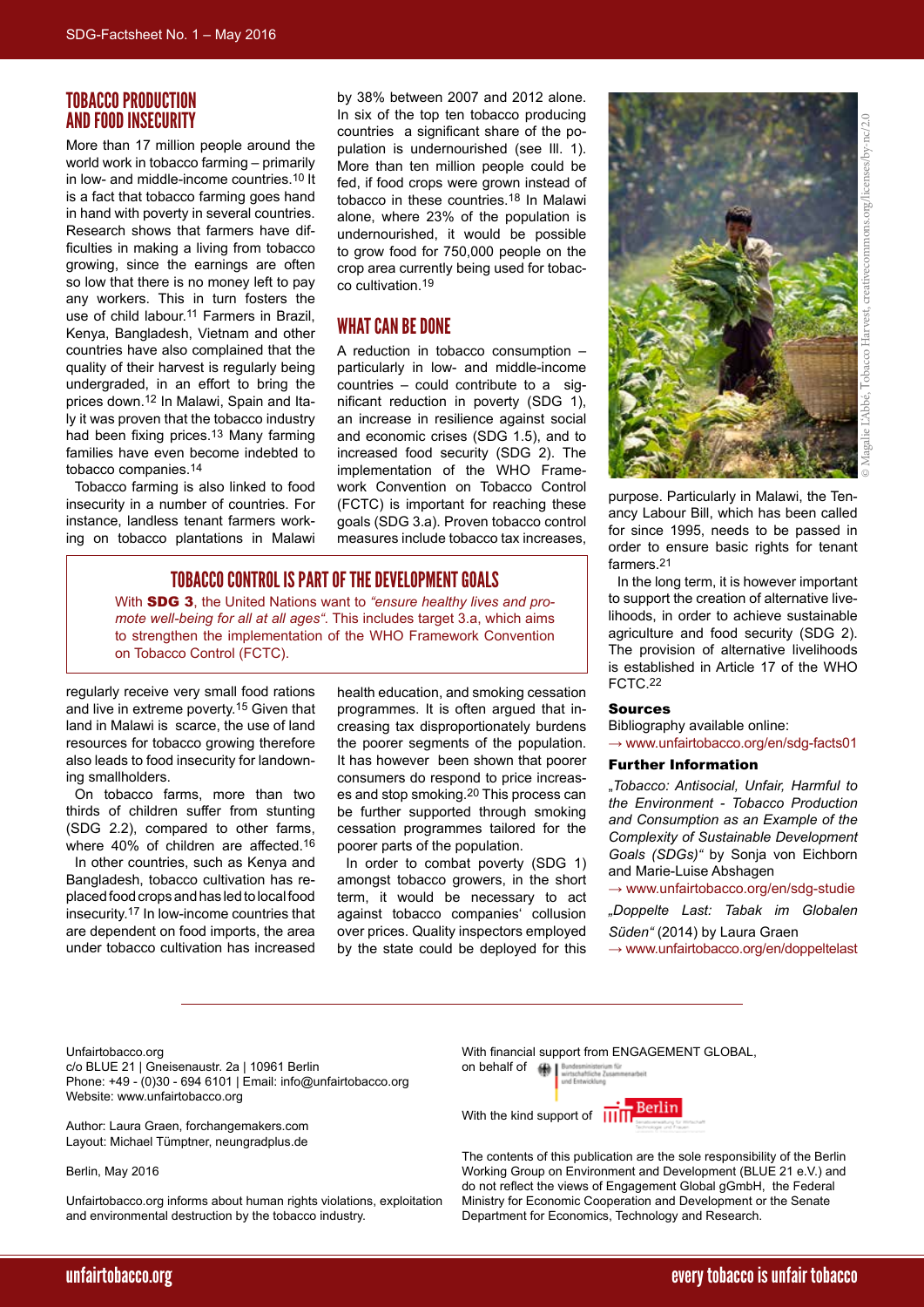# Tobacco Production and Food Insecurity

More than 17 million people around the world work in tobacco farming – primarily in low- and middle-income countries.10 It is a fact that tobacco farming goes hand in hand with poverty in several countries. Research shows that farmers have difficulties in making a living from tobacco growing, since the earnings are often so low that there is no money left to pay any workers. This in turn fosters the use of child labour.11 Farmers in Brazil, Kenya, Bangladesh, Vietnam and other countries have also complained that the quality of their harvest is regularly being undergraded, in an effort to bring the prices down.12 In Malawi, Spain and Italy it was proven that the tobacco industry had been fixing prices.13 Many farming families have even become indebted to tobacco companies.14

Tobacco farming is also linked to food insecurity in a number of countries. For instance, landless tenant farmers working on tobacco plantations in Malawi

by 38% between 2007 and 2012 alone. In six of the top ten tobacco producing countries a significant share of the population is undernourished (see Ill. 1). More than ten million people could be fed, if food crops were grown instead of tobacco in these countries.18 In Malawi alone, where 23% of the population is undernourished, it would be possible to grow food for 750,000 people on the crop area currently being used for tobacco cultivation.19

## WHAT CAN BE DONE

A reduction in tobacco consumption – particularly in low- and middle-income countries – could contribute to a significant reduction in poverty (SDG 1), an increase in resilience against social and economic crises (SDG 1.5), and to increased food security (SDG 2). The implementation of the WHO Framework Convention on Tobacco Control (FCTC) is important for reaching these goals (SDG 3.a). Proven tobacco control measures include tobacco tax increases,

# TOBACCO CONTROL IS PART OF THE DEVELOPMENT GOALS

With SDG 3, the United Nations want to *"ensure healthy lives and promote well-being for all at all ages"*. This includes target 3.a, which aims to strengthen the implementation of the WHO Framework Convention on Tobacco Control (FCTC).

regularly receive very small food rations and live in extreme poverty.15 Given that land in Malawi is scarce, the use of land resources for tobacco growing therefore also leads to food insecurity for landowning smallholders.

On tobacco farms, more than two thirds of children suffer from stunting (SDG 2.2), compared to other farms, where 40% of children are affected.16 In other countries, such as Kenya and Bangladesh, tobacco cultivation has replaced food crops and has led to local food insecurity.17 In low-income countries that are dependent on food imports, the area under tobacco cultivation has increased health education, and smoking cessation programmes. It is often argued that increasing tax disproportionately burdens the poorer segments of the population. It has however been shown that poorer consumers do respond to price increases and stop smoking.20 This process can be further supported through smoking cessation programmes tailored for the poorer parts of the population.

In order to combat poverty (SDG 1) amongst tobacco growers, in the short term, it would be necessary to act against tobacco companies' collusion over prices. Quality inspectors employed by the state could be deployed for this



Tobacco Harvest, creativecommons.org/licenses/by-nc/2.0 $by-nq/2.0$ tivecommons.org/l obacco © Magalie L'Abbé,

purpose. Particularly in Malawi, the Tenancy Labour Bill, which has been called for since 1995, needs to be passed in order to ensure basic rights for tenant farmers.21

In the long term, it is however important to support the creation of alternative livelihoods, in order to achieve sustainable agriculture and food security (SDG 2). The provision of alternative livelihoods is established in Article 17 of the WHO FCTC.22

### Sources

Bibliography available online:  $\rightarrow$  [www.unfairtobacco.org/en/sdg-facts01](http://www.unfairtobacco.org/en/sdg-facts01)

#### Further Information

"*Tobacco: Antisocial, Unfair, Harmful to the Environment - Tobacco Production and Consumption as an Example of the Complexity of Sustainable Development Goals (SDGs)"* by Sonja von Eichborn and Marie-Luise Abshagen

→ [www.unfairtobacco.org/en/sdg-studie](http://www.unfairtobacco.org/en/sdg-studie) *"Doppelte Last: Tabak im Globalen Süden"* (2014) by Laura Graen → [www.unfairtobacco.org/en/doppeltelast](http://www.unfairtobacco.org/en/doppeltelast)

Unfairtobacco.org

c/o BLUE 21 | Gneisenaustr. 2a | 10961 Berlin Phone: +49 - (0)30 - 694 6101 | Email: info@unfairtobacco.org Website: www.unfairtobacco.org

Author: Laura Graen, forchangemakers.com Layout: Michael Tümptner, neungradplus.de

Berlin, May 2016

Unfairtobacco.org informs about human rights violations, exploitation and environmental destruction by the tobacco industry.

With financial support from ENGAGEMENT GLOBAL,

on behalf of  $\blacksquare$ 

With the kind support of  $\prod$ 



The contents of this publication are the sole responsibility of the Berlin Working Group on Environment and Development (BLUE 21 e.V.) and do not reflect the views of Engagement Global gGmbH, the Federal Ministry for Economic Cooperation and Development or the Senate Department for Economics, Technology and Research.